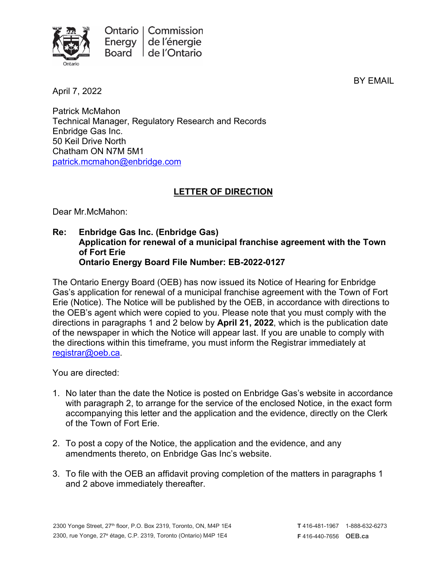

April 7, 2022

BY EMAIL

Patrick McMahon Technical Manager, Regulatory Research and Records Enbridge Gas Inc. 50 Keil Drive North Chatham ON N7M 5M1 [patrick.mcmahon@enbridge.com](mailto:patrick.mcmahon@enbridge.com)

## **LETTER OF DIRECTION**

Dear Mr.McMahon:

**Re: Enbridge Gas Inc. (Enbridge Gas) Application for renewal of a municipal franchise agreement with the Town of Fort Erie Ontario Energy Board File Number: EB-2022-0127**

The Ontario Energy Board (OEB) has now issued its Notice of Hearing for Enbridge Gas's application for renewal of a municipal franchise agreement with the Town of Fort Erie (Notice). The Notice will be published by the OEB, in accordance with directions to the OEB's agent which were copied to you. Please note that you must comply with the directions in paragraphs 1 and 2 below by **April 21, 2022**, which is the publication date of the newspaper in which the Notice will appear last. If you are unable to comply with the directions within this timeframe, you must inform the Registrar immediately at [registrar@oeb.ca.](mailto:registrar@oeb.ca)

You are directed:

- 1. No later than the date the Notice is posted on Enbridge Gas's website in accordance with paragraph 2, to arrange for the service of the enclosed Notice, in the exact form accompanying this letter and the application and the evidence, directly on the Clerk of the Town of Fort Erie.
- 2. To post a copy of the Notice, the application and the evidence, and any amendments thereto, on Enbridge Gas Inc's website.
- 3. To file with the OEB an affidavit proving completion of the matters in paragraphs 1 and 2 above immediately thereafter.